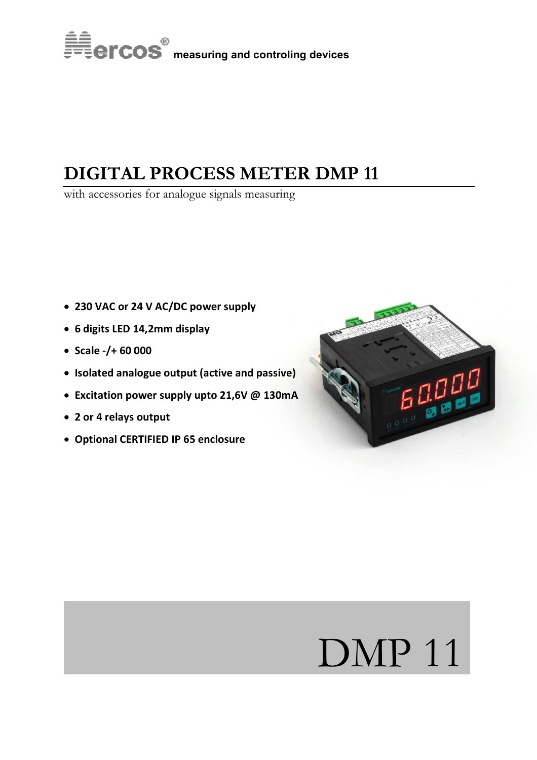

# **DIGITAL PROCESS METER DMP 11**

with accessories for analogue signals measuring

- **230 VAC or 24 V AC/DC power supply**
- **6 digits LED 14,2mm display**
- **Scale -/+ 60 000**
- **Isolated analogue output (active and passive)**
- **Excitation power supply upto 21,6V @ 130mA**
- **2 or 4 relays output**
- **Optional CERTIFIED IP 65 enclosure**



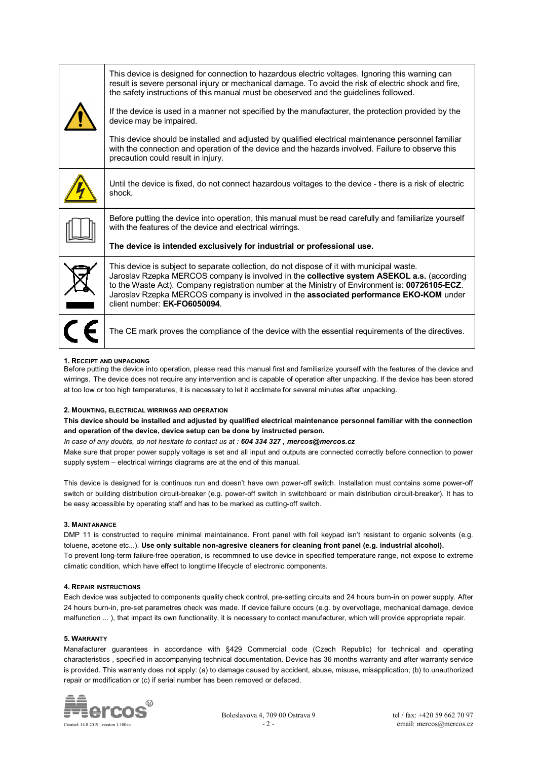|  | This device is designed for connection to hazardous electric voltages. Ignoring this warning can<br>result is severe personal injury or mechanical damage. To avoid the risk of electric shock and fire,<br>the safety instructions of this manual must be obeserved and the guidelines followed.                                                                                                                    |
|--|----------------------------------------------------------------------------------------------------------------------------------------------------------------------------------------------------------------------------------------------------------------------------------------------------------------------------------------------------------------------------------------------------------------------|
|  | If the device is used in a manner not specified by the manufacturer, the protection provided by the<br>device may be impaired.                                                                                                                                                                                                                                                                                       |
|  | This device should be installed and adjusted by qualified electrical maintenance personnel familiar<br>with the connection and operation of the device and the hazards involved. Failure to observe this<br>precaution could result in injury.                                                                                                                                                                       |
|  | Until the device is fixed, do not connect hazardous voltages to the device - there is a risk of electric<br>shock.                                                                                                                                                                                                                                                                                                   |
|  | Before putting the device into operation, this manual must be read carefully and familiarize yourself<br>with the features of the device and electrical wirrings.                                                                                                                                                                                                                                                    |
|  | The device is intended exclusively for industrial or professional use.                                                                                                                                                                                                                                                                                                                                               |
|  | This device is subject to separate collection, do not dispose of it with municipal waste.<br>Jaroslav Rzepka MERCOS company is involved in the collective system ASEKOL a.s. (according<br>to the Waste Act). Company registration number at the Ministry of Environment is: 00726105-ECZ.<br>Jaroslav Rzepka MERCOS company is involved in the associated performance EKO-KOM under<br>client number: EK-FO6050094. |
|  | The CE mark proves the compliance of the device with the essential requirements of the directives.                                                                                                                                                                                                                                                                                                                   |

### **1. RECEIPT AND UNPACKING**

Before putting the device into operation, please read this manual first and familiarize yourself with the features of the device and wirrings. The device does not require any intervention and is capable of operation after unpacking. If the device has been stored at too low or too high temperatures, it is necessary to let it acclimate for several minutes after unpacking.

### **2. MOUNTING, ELECTRICAL WIRRINGS AND OPERATION**

**This device should be installed and adjusted by qualified electrical maintenance personnel familiar with the connection and operation of the device, device setup can be done by instructed person.** 

*In case of any doubts, do not hesitate to contact us at : 604 334 327 , mercos@mercos.cz* 

Make sure that proper power supply voltage is set and all input and outputs are connected correctly before connection to power supply system – electrical wirrings diagrams are at the end of this manual.

This device is designed for is continuos run and doesn't have own power-off switch. Installation must contains some power-off switch or building distribution circuit-breaker (e.g. power-off switch in switchboard or main distribution circuit-breaker). It has to be easy accessible by operating staff and has to be marked as cutting-off switch.

### **3. MAINTANANCE**

DMP 11 is constructed to require minimal maintainance. Front panel with foil keypad isn't resistant to organic solvents (e.g. toluene, acetone etc...). **Use only suitable non-agresive cleaners for cleaning front panel (e.g. industrial alcohol).** To prevent long-term failure-free operation, is recommned to use device in specified temperature range, not expose to extreme climatic condition, which have effect to longtime lifecycle of electronic components.

### **4. REPAIR INSTRUCTIONS**

Each device was subjected to components quality check control, pre-setting circuits and 24 hours burn-in on power supply. After 24 hours burn-in, pre-set parametres check was made. If device failure occurs (e.g. by overvoltage, mechanical damage, device malfunction ... ), that impact its own functionality, it is necessary to contact manufacturer, which will provide appropriate repair.

### **5. WARRANTY**

Manafacturer guarantees in accordance with §429 Commercial code (Czech Republic) for technical and operating characteristics , specified in accompanying technical documentation. Device has 36 months warranty and after warranty service is provided. This warranty does not apply: (a) to damage caused by accident, abuse, misuse, misapplication; (b) to unauthorized repair or modification or (c) if serial number has been removed or defaced.



Boleslavova 4, 709 00 Ostrava 9 tel / fax: +420 59 662 70 97<br> $-2$ - email: mercos@mercos.cz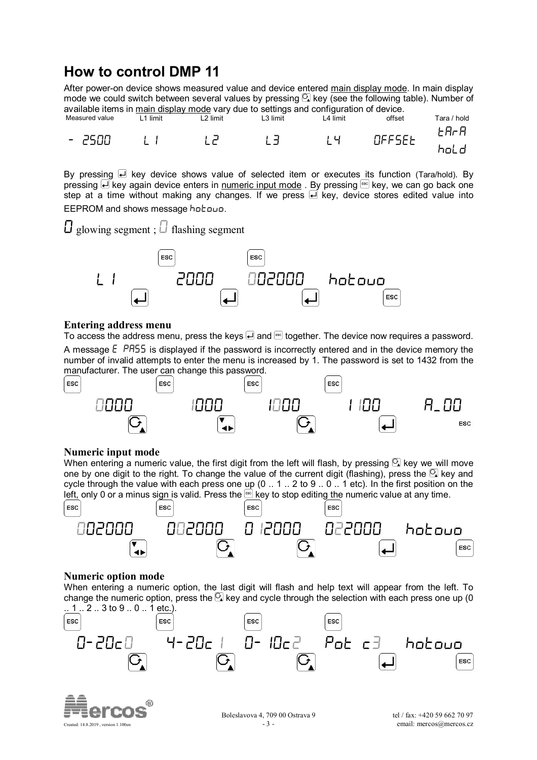# **How to control DMP 11**

After power-on device shows measured value and device entered main display mode. In main display mode we could switch between several values by pressing  $\mathbb{C}$  key (see the following table). Number of available items in main display mode vary due to settings and configuration of device.

| Measured value                   | limit | .2 limit | ∟3 limit | .4 limit | offset        | $Tan/$ .<br>/ hold |
|----------------------------------|-------|----------|----------|----------|---------------|--------------------|
| eson<br>$\overline{\phantom{0}}$ |       |          | . .      | , ப<br>∽ | <b>DEESEE</b> | ta-a<br>. ind      |
|                                  |       |          |          |          |               |                    |

By pressing  $\bigoplus$  key device shows value of selected item or executes its function (Tara/hold). By pressing  $\overrightarrow{H}$  key again device enters in numeric input mode . By pressing so key, we can go back one step at a time without making any changes. If we press  $\overrightarrow{H}$  key, device stores edited value into EEPROM and shows message hotouo.

 $\bigcup$  glowing segment ;  $\bigcup$  flashing segment



## **Entering address menu**

To access the address menu, press the keys  $\Box$  and  $\degree$  together. The device now requires a password. A message  $\epsilon$  PR55 is displayed if the password is incorrectly entered and in the device memory the number of invalid attempts to enter the menu is increased by 1. The password is set to 1432 from the manufacturer. The user can change this password.



### **Numeric input mode**

When entering a numeric value, the first digit from the left will flash, by pressing  $\Omega$  key we will move one by one digit to the right. To change the value of the current digit (flashing), press the  $\Omega$  key and cycle through the value with each press one up (0 .. 1 .. 2 to 9 .. 0 .. 1 etc). In the first position on the left, only 0 or a minus sign is valid. Press the  $\mathbb{R}^n$  key to stop editing the numeric value at any time.



### **Numeric option mode**

When entering a numeric option, the last digit will flash and help text will appear from the left. To change the numeric option, press the  $\boxdot$  key and cycle through the selection with each press one up (0  $\therefore$  1  $\therefore$  2  $\therefore$  3 to 9  $\therefore$  0  $\therefore$  1 etc.).





Boleslavova 4, 709 00 Ostrava 9 tel / fax: +420 59 662 70 97<br> $-3$  - email: mercos@mercos.cz Created: 14.8.2019 , version 1.100en and the created: 14.8.2019 , version 1.100en and the created: 14.8.2019 , version 1.100en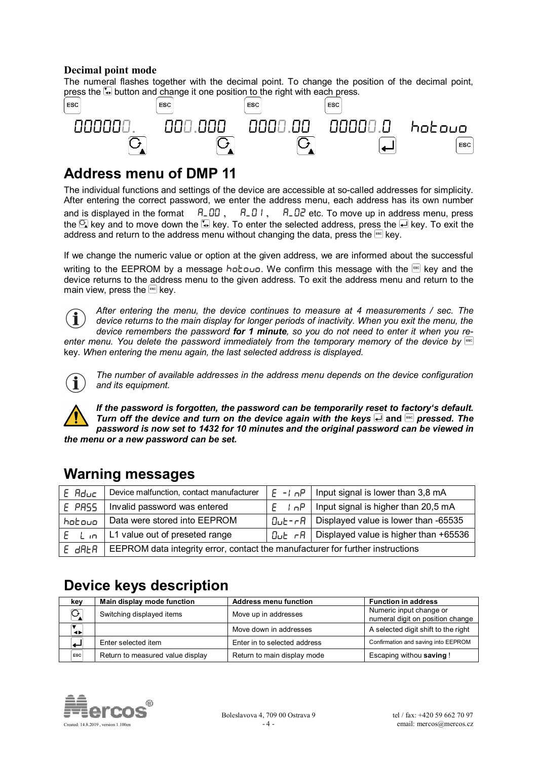## **Decimal point mode**

The numeral flashes together with the decimal point. To change the position of the decimal point, press the **button and change it one position to the right with each press.** 



# **Address menu of DMP 11**

The individual functions and settings of the device are accessible at so-called addresses for simplicity. After entering the correct password, we enter the address menu, each address has its own number and is displayed in the format  $A_0 = B_1$ ,  $A_1 = B_1$ ,  $A_1 = B_2$  etc. To move up in address menu, press the  $\Omega$  key and to move down the  $\Omega$  key. To enter the selected address, press the  $\Omega$  key. To exit the address and return to the address menu without changing the data, press the  $f^{\text{sec}}$  key.

If we change the numeric value or option at the given address, we are informed about the successful writing to the EEPROM by a message hotovor. We confirm this message with the  $[36]$  key and the device returns to the address menu to the given address. To exit the address menu and return to the main view, press the  $f^{\text{sec}}$  key.

*After entering the menu, the device continues to measure at 4 measurements / sec. The*   $\mathbf i$ *device returns to the main display for longer periods of inactivity. When you exit the menu, the device remembers the password for 1 minute, so you do not need to enter it when you reenter menu. You delete the password immediately from the temporary memory of the device by*  key*. When entering the menu again, the last selected address is displayed.*



*The number of available addresses in the address menu depends on the device configuration and its equipment.* 

*If the password is forgotten, the password can be temporarily reset to factory's default. Turn off the device and turn on the device again with the keys*  $\Box$  *and <sup>[887</sup>] pressed. The password is now set to 1432 for 10 minutes and the original password can be viewed in the menu or a new password can be set.* 

# **Warning messages**

| $E$ Aduc | Device malfunction, contact manufacturer                                                                 |            | $E - I \cap P$ Input signal is lower than 3,8 mA                                                             |  |
|----------|----------------------------------------------------------------------------------------------------------|------------|--------------------------------------------------------------------------------------------------------------|--|
| E PRSS   | Invalid password was entered                                                                             | $F \cap P$ | Input signal is higher than 20,5 mA                                                                          |  |
| hotouo   | Data were stored into EEPROM<br>$\Box$ u $\vdash$ - $\vdash$ $\Box$ Pisplayed value is lower than -65535 |            |                                                                                                              |  |
| E Lin    | L1 value out of preseted range                                                                           |            | $\Box$ <sub>LE</sub> $\overline{\phantom{a}}$ $\overline{\phantom{a}}$ Displayed value is higher than +65536 |  |
| E dRER   | EEPROM data integrity error, contact the manufacturer for further instructions                           |            |                                                                                                              |  |

# **Device keys description**

| kev            | Main display mode function       | <b>Address menu function</b> | <b>Function in address</b>                                  |
|----------------|----------------------------------|------------------------------|-------------------------------------------------------------|
| $\overline{G}$ | Switching displayed items        | Move up in addresses         | Numeric input change or<br>numeral digit on position change |
| $\rightarrow$  |                                  | Move down in addresses       | A selected digit shift to the right                         |
|                | Enter selected item              | Enter in to selected address | Confirmation and saving into EEPROM                         |
| ESC            | Return to measured value display | Return to main display mode  | Escaping withou saving !                                    |

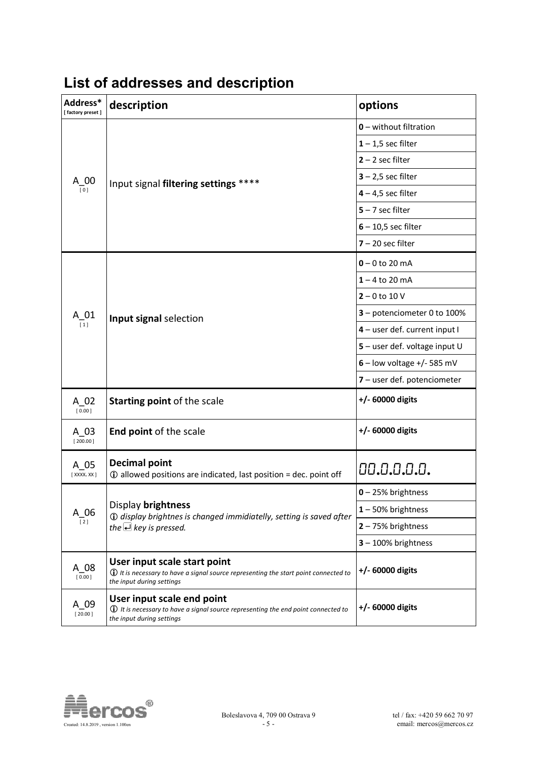| Address*<br>[factory preset] | description                                                                                                                                                  | options                       |
|------------------------------|--------------------------------------------------------------------------------------------------------------------------------------------------------------|-------------------------------|
|                              |                                                                                                                                                              | $0$ – without filtration      |
|                              |                                                                                                                                                              | $1 - 1,5$ sec filter          |
|                              |                                                                                                                                                              | $2 - 2$ sec filter            |
|                              | Input signal filtering settings ****                                                                                                                         | $3 - 2,5$ sec filter          |
| $A_{\overline{[0]}} 00$      |                                                                                                                                                              | $4 - 4.5$ sec filter          |
|                              |                                                                                                                                                              | $5 - 7$ sec filter            |
|                              |                                                                                                                                                              | $6 - 10,5$ sec filter         |
|                              |                                                                                                                                                              | $7 - 20$ sec filter           |
|                              |                                                                                                                                                              | $0 - 0$ to 20 mA              |
|                              |                                                                                                                                                              | $1 - 4$ to 20 mA              |
|                              |                                                                                                                                                              | $2 - 0$ to 10 V               |
| $A_{\frac{1}{[1]}} 01$       | Input signal selection                                                                                                                                       | 3 - potenciometer 0 to 100%   |
|                              |                                                                                                                                                              | 4 - user def. current input I |
|                              |                                                                                                                                                              | 5 - user def. voltage input U |
|                              |                                                                                                                                                              | $6$ – low voltage +/- 585 mV  |
|                              |                                                                                                                                                              | 7 - user def. potenciometer   |
| $A_0$ 02<br>$\sqrt{0.00}$    | Starting point of the scale                                                                                                                                  | +/- 60000 digits              |
| A 03<br>[200.00]             | End point of the scale                                                                                                                                       | +/- 60000 digits              |
| A 05<br>$[$ XXXX. XX $]$     | <b>Decimal point</b><br>10 allowed positions are indicated, last position = dec. point off                                                                   | 00.0.0.0.0.                   |
|                              |                                                                                                                                                              | $0 - 25%$ brightness          |
| $A_06$                       | Display brightness<br><b>1</b> ) display brightnes is changed immidiatelly, setting is saved after                                                           | $1 - 50\%$ brightness         |
| $[2]$                        | the $\triangle$ key is pressed.                                                                                                                              | $2 - 75%$ brightness          |
|                              |                                                                                                                                                              | $3 - 100\%$ brightness        |
| A 08<br>[0.00]               | User input scale start point<br>$\bf \hat{U}$ It is necessary to have a signal source representing the start point connected to<br>the input during settings | +/- 60000 digits              |
| A 09<br>[20.00]              | User input scale end point<br>$\bf{0}$ It is necessary to have a signal source representing the end point connected to<br>the input during settings          | +/- 60000 digits              |

# **List of addresses and description**

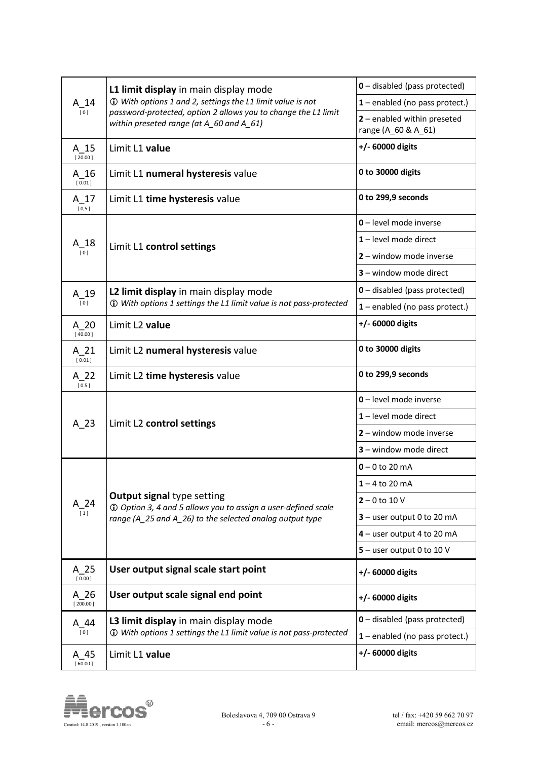| $A_14$<br>[0]            | L1 limit display in main display mode<br>1) With options 1 and 2, settings the L1 limit value is not                                                           | <b>0</b> - disabled (pass protected)               |
|--------------------------|----------------------------------------------------------------------------------------------------------------------------------------------------------------|----------------------------------------------------|
|                          |                                                                                                                                                                | $1$ – enabled (no pass protect.)                   |
|                          | password-protected, option 2 allows you to change the L1 limit<br>within preseted range (at A_60 and A_61)                                                     | 2 - enabled within preseted<br>range (A_60 & A_61) |
| $A_15$<br>[20.00]        | Limit L1 value                                                                                                                                                 | +/- 60000 digits                                   |
| $A_16$<br>[0.01]         | Limit L1 numeral hysteresis value                                                                                                                              | 0 to 30000 digits                                  |
| $A_17$<br>[0,5]          | Limit L1 time hysteresis value                                                                                                                                 | 0 to 299,9 seconds                                 |
|                          |                                                                                                                                                                | 0 - level mode inverse                             |
| $A_{\frac{1}{[0]}}18$    | Limit L1 control settings                                                                                                                                      | 1-level mode direct                                |
|                          |                                                                                                                                                                | 2 - window mode inverse                            |
|                          |                                                                                                                                                                | 3 - window mode direct                             |
| $A_19$                   | L2 limit display in main display mode                                                                                                                          | <b>0</b> - disabled (pass protected)               |
| [0]                      | 1 With options 1 settings the L1 limit value is not pass-protected                                                                                             | $1$ – enabled (no pass protect.)                   |
| $A_2$ 20<br>[40.00]      | Limit L2 value                                                                                                                                                 | $+/- 60000$ digits                                 |
| A 21<br>[0.01]           | Limit L2 numeral hysteresis value                                                                                                                              | 0 to 30000 digits                                  |
| $A_2$ 22<br>[0.5]        | Limit L2 time hysteresis value                                                                                                                                 | 0 to 299,9 seconds                                 |
|                          | Limit L2 control settings                                                                                                                                      | 0 - level mode inverse                             |
| $A_23$                   |                                                                                                                                                                | 1-level mode direct                                |
|                          |                                                                                                                                                                | 2 - window mode inverse                            |
|                          |                                                                                                                                                                | 3 - window mode direct                             |
|                          | <b>Output signal type setting</b><br>1 Option 3, 4 and 5 allows you to assign a user-defined scale<br>range (A_25 and A_26) to the selected analog output type | $0 - 0$ to 20 mA                                   |
|                          |                                                                                                                                                                | $1 - 4$ to 20 mA                                   |
| $\frac{1}{\binom{1}{1}}$ |                                                                                                                                                                | $2 - 0$ to 10 V                                    |
|                          |                                                                                                                                                                | $3 -$ user output 0 to 20 mA                       |
|                          |                                                                                                                                                                | 4 - user output 4 to 20 mA                         |
|                          |                                                                                                                                                                | $5 -$ user output 0 to 10 V                        |
| A 25<br>[0.00]           | User output signal scale start point                                                                                                                           | +/- 60000 digits                                   |
| A 26<br>[200.00]         | User output scale signal end point                                                                                                                             | +/- 60000 digits                                   |
| A 44                     | L3 limit display in main display mode<br>1) With options 1 settings the L1 limit value is not pass-protected                                                   | 0 - disabled (pass protected)                      |
| [0]                      |                                                                                                                                                                | $1$ – enabled (no pass protect.)                   |
| A 45<br>[60.00]          | Limit L1 value                                                                                                                                                 | +/- 60000 digits                                   |

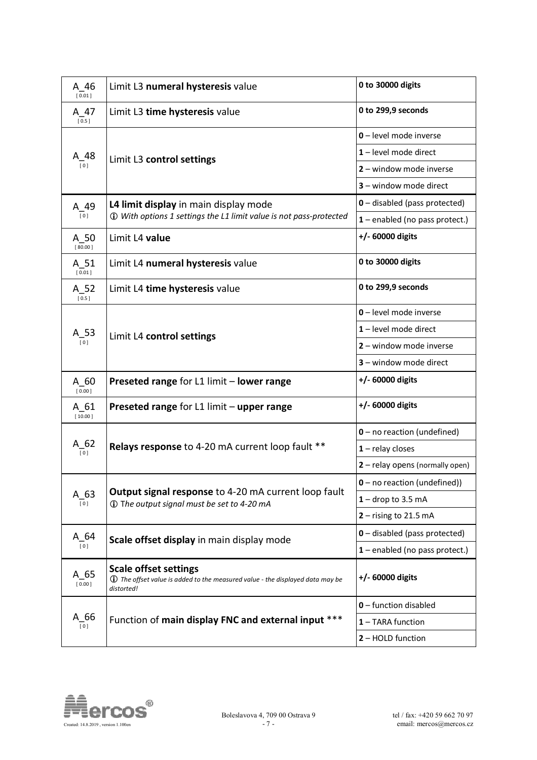| A 46<br>[0.01]             | Limit L3 numeral hysteresis value                                                                                                  | 0 to 30000 digits                |
|----------------------------|------------------------------------------------------------------------------------------------------------------------------------|----------------------------------|
| $A_47$<br>[0.5]            | Limit L3 time hysteresis value                                                                                                     | 0 to 299,9 seconds               |
|                            |                                                                                                                                    | 0 - level mode inverse           |
| A_48                       | Limit L3 control settings                                                                                                          | 1-level mode direct              |
| [0]                        |                                                                                                                                    | 2 - window mode inverse          |
|                            |                                                                                                                                    | 3 - window mode direct           |
| A 49                       | L4 limit display in main display mode                                                                                              | 0 - disabled (pass protected)    |
| $\overline{[0]}$           | 1 With options 1 settings the L1 limit value is not pass-protected                                                                 | $1$ – enabled (no pass protect.) |
| $A_50$<br>[80.00]          | Limit L4 value                                                                                                                     | +/- 60000 digits                 |
| $A_51$<br>$[0.01]$         | Limit L4 numeral hysteresis value                                                                                                  | 0 to 30000 digits                |
| $A_52$<br>[0.5]            | Limit L4 time hysteresis value                                                                                                     | 0 to 299,9 seconds               |
|                            | Limit L4 control settings                                                                                                          | 0-level mode inverse             |
| A_53                       |                                                                                                                                    | 1-level mode direct              |
| [0]                        |                                                                                                                                    | 2 - window mode inverse          |
|                            |                                                                                                                                    | 3 - window mode direct           |
| $A_60$<br>[0.00]           | Preseted range for L1 limit - lower range                                                                                          | +/- 60000 digits                 |
| A 61<br>[10.00]            | Preseted range for L1 limit - upper range                                                                                          | +/- 60000 digits                 |
|                            |                                                                                                                                    | $0$ – no reaction (undefined)    |
| $A_62$<br>$\overline{[0]}$ | Relays response to 4-20 mA current loop fault **                                                                                   | $1$ – relay closes               |
|                            |                                                                                                                                    | 2 - relay opens (normally open)  |
|                            |                                                                                                                                    | $0$ – no reaction (undefined))   |
| $A_63$<br>[0]              | Output signal response to 4-20 mA current loop fault<br>1 The output signal must be set to 4-20 mA                                 | $1 -$ drop to 3.5 mA             |
|                            |                                                                                                                                    | $2 -$ rising to 21.5 mA          |
| $A_64$                     | Scale offset display in main display mode                                                                                          | 0 - disabled (pass protected)    |
| [0]                        |                                                                                                                                    | 1 - enabled (no pass protect.)   |
| A 65<br>[0.00]             | <b>Scale offset settings</b><br><b>1</b> The offset value is added to the measured value - the displayed data may be<br>distorted! | +/- 60000 digits                 |
|                            |                                                                                                                                    | 0 - function disabled            |
| A_66<br>[0]                | Function of main display FNC and external input ***                                                                                | 1 - TARA function                |
|                            |                                                                                                                                    | 2 - HOLD function                |

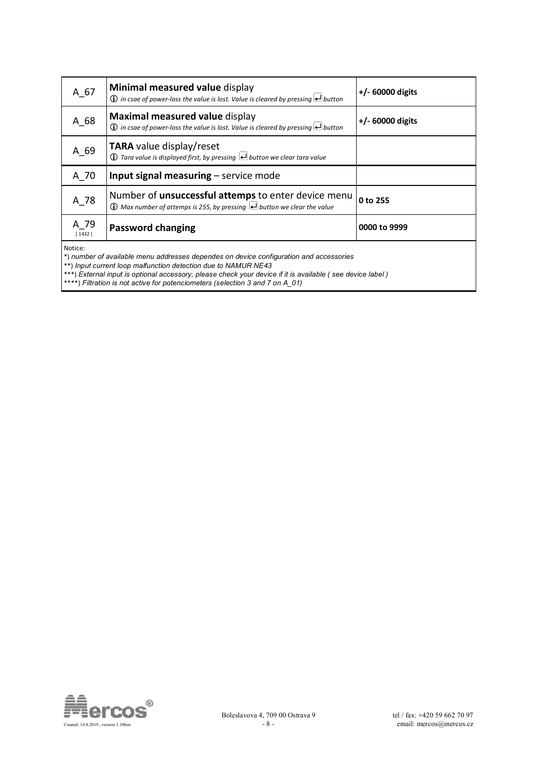| A 67           | Minimal measured value display<br>$\bigcirc$ in csae of power-loss the value is lost. Value is cleared by pressing $\bigcirc$ button                      | $+/- 60000$ digits |
|----------------|-----------------------------------------------------------------------------------------------------------------------------------------------------------|--------------------|
| A 68           | Maximal measured value display<br>$\bigcirc$ in csae of power-loss the value is lost. Value is cleared by pressing $\biguplus$ button                     | $+/- 60000$ digits |
| A 69           | TARA value display/reset<br>$\bigcirc$ Tara value is displayed first, by pressing $\bigcirc$ button we clear tara value                                   |                    |
| A 70           | Input signal measuring - service mode                                                                                                                     |                    |
| A 78           | Number of <b>unsuccessful attemps</b> to enter device menu<br>$\bigoplus$ Max number of attemps is 255, by pressing $\bigoplus$ button we clear the value | 0 to 255           |
| A 79<br>[1432] | <b>Password changing</b>                                                                                                                                  | 0000 to 9999       |
| Notice:        |                                                                                                                                                           |                    |

Notice:

\*) *number of available menu addresses dependes on device configuration and accessories* 

\*\*) *Input current loop malfunction detection due to NAMUR NE43* 

\*\*\*) *External input is optional accessory, please check your device if it is available ( see device label )*

\*\*\*\*) *Filtration is not active for potenciometers (selection 3 and 7 on A\_01)* 

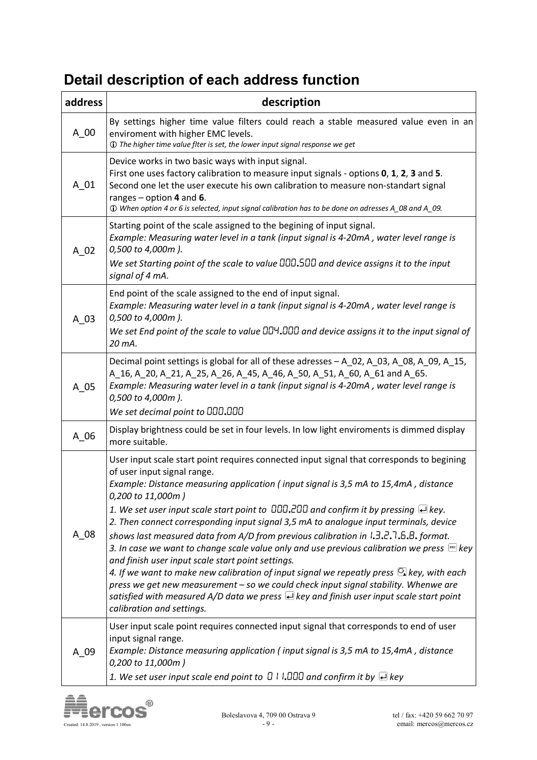# **Detail description of each address function**

| address  | description                                                                                                                                                                                                                                                                                                                                                                                                                                                                                                                                                                                                                                                                                                                                                                                                                                                                                                                                                                                                                             |
|----------|-----------------------------------------------------------------------------------------------------------------------------------------------------------------------------------------------------------------------------------------------------------------------------------------------------------------------------------------------------------------------------------------------------------------------------------------------------------------------------------------------------------------------------------------------------------------------------------------------------------------------------------------------------------------------------------------------------------------------------------------------------------------------------------------------------------------------------------------------------------------------------------------------------------------------------------------------------------------------------------------------------------------------------------------|
| A 00     | By settings higher time value filters could reach a stable measured value even in an<br>enviroment with higher EMC levels.<br>1) The higher time value flter is set, the lower input signal response we get                                                                                                                                                                                                                                                                                                                                                                                                                                                                                                                                                                                                                                                                                                                                                                                                                             |
| $A_0$ 01 | Device works in two basic ways with input signal.<br>First one uses factory calibration to measure input signals - options 0, 1, 2, 3 and 5.<br>Second one let the user execute his own calibration to measure non-standart signal<br>ranges $-$ option 4 and 6.<br>10 When option 4 or 6 is selected, input signal calibration has to be done on adresses A_08 and A_09.                                                                                                                                                                                                                                                                                                                                                                                                                                                                                                                                                                                                                                                               |
| A 02     | Starting point of the scale assigned to the begining of input signal.<br>Example: Measuring water level in a tank (input signal is 4-20mA, water level range is<br>0,500 to 4,000m).<br>We set Starting point of the scale to value 000.500 and device assigns it to the input<br>signal of 4 mA.                                                                                                                                                                                                                                                                                                                                                                                                                                                                                                                                                                                                                                                                                                                                       |
| A 03     | End point of the scale assigned to the end of input signal.<br>Example: Measuring water level in a tank (input signal is 4-20mA, water level range is<br>0,500 to 4,000m).<br>We set End point of the scale to value $\Box\Box\Box\Box$ and device assigns it to the input signal of<br>20 mA.                                                                                                                                                                                                                                                                                                                                                                                                                                                                                                                                                                                                                                                                                                                                          |
| A 05     | Decimal point settings is global for all of these adresses - A_02, A_03, A_08, A_09, A_15,<br>A_16, A_20, A_21, A_25, A_26, A_45, A_46, A_50, A_51, A_60, A_61 and A_65.<br>Example: Measuring water level in a tank (input signal is 4-20mA, water level range is<br>0,500 to 4,000m).<br>We set decimal point to 000.000                                                                                                                                                                                                                                                                                                                                                                                                                                                                                                                                                                                                                                                                                                              |
| A 06     | Display brightness could be set in four levels. In low light enviroments is dimmed display<br>more suitable.                                                                                                                                                                                                                                                                                                                                                                                                                                                                                                                                                                                                                                                                                                                                                                                                                                                                                                                            |
| $A_08$   | User input scale start point requires connected input signal that corresponds to begining<br>of user input signal range.<br>Example: Distance measuring application (input signal is 3,5 mA to 15,4mA, distance<br>0,200 to 11,000m)<br>1. We set user input scale start point to $\Box$ $\Box$ $\Box$ $\Box$ and confirm it by pressing $\Box$ key.<br>2. Then connect corresponding input signal 3,5 mA to analogue input terminals, device<br>shows last measured data from A/D from previous calibration in $1.3.2.7.6.8$ , format.<br>3. In case we want to change scale value only and use previous calibration we press $f^{\text{esc}}$ key<br>and finish user input scale start point settings.<br>4. If we want to make new calibration of input signal we repeatly press $\mathbb S$ key, with each<br>press we get new measurement - so we could check input signal stability. Whenwe are<br>satisfied with measured A/D data we press $\bigoplus$ key and finish user input scale start point<br>calibration and settings. |
| A 09     | User input scale point requires connected input signal that corresponds to end of user<br>input signal range.<br>Example: Distance measuring application (input signal is 3,5 mA to 15,4mA, distance<br>0,200 to 11,000m)<br>1. We set user input scale end point to $\Box$ I I. $\Box$ and confirm it by $\Box$ key                                                                                                                                                                                                                                                                                                                                                                                                                                                                                                                                                                                                                                                                                                                    |

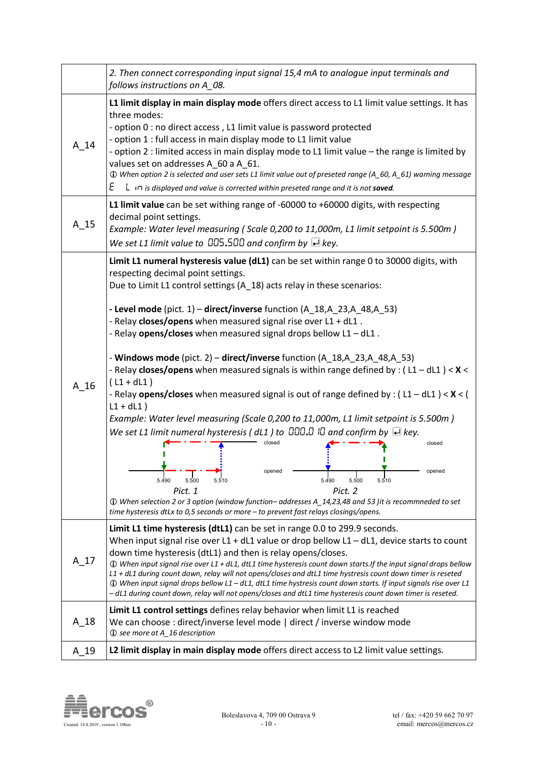|          | 2. Then connect corresponding input signal 15,4 mA to analogue input terminals and<br>follows instructions on A 08.                                                                                                                                                                                                                                                                                                                                                                                                                                                                                                                                                                                                                                                                                                                                                                                                                                                                                                                                                                                                                                                                                                                            |  |
|----------|------------------------------------------------------------------------------------------------------------------------------------------------------------------------------------------------------------------------------------------------------------------------------------------------------------------------------------------------------------------------------------------------------------------------------------------------------------------------------------------------------------------------------------------------------------------------------------------------------------------------------------------------------------------------------------------------------------------------------------------------------------------------------------------------------------------------------------------------------------------------------------------------------------------------------------------------------------------------------------------------------------------------------------------------------------------------------------------------------------------------------------------------------------------------------------------------------------------------------------------------|--|
| $A_1$ 14 | L1 limit display in main display mode offers direct access to L1 limit value settings. It has<br>three modes:<br>- option 0 : no direct access, L1 limit value is password protected<br>- option 1 : full access in main display mode to L1 limit value<br>- option 2 : limited access in main display mode to L1 limit value - the range is limited by<br>values set on addresses A_60 a A_61.<br>1) When option 2 is selected and user sets L1 limit value out of preseted range (A_60, A_61) warning message<br>Ε<br>$L \nightharpoonup$ is displayed and value is corrected within preseted range and it is not saved.                                                                                                                                                                                                                                                                                                                                                                                                                                                                                                                                                                                                                     |  |
| A 15     | L1 limit value can be set withing range of -60000 to +60000 digits, with respecting<br>decimal point settings.<br>Example: Water level measuring (Scale 0,200 to 11,000m, L1 limit setpoint is 5.500m)<br>We set L1 limit value to $0.5511$ and confirm by $\triangle$ key.                                                                                                                                                                                                                                                                                                                                                                                                                                                                                                                                                                                                                                                                                                                                                                                                                                                                                                                                                                    |  |
| A 16     | Limit L1 numeral hysteresis value (dL1) can be set within range 0 to 30000 digits, with<br>respecting decimal point settings.<br>Due to Limit L1 control settings (A_18) acts relay in these scenarios:<br>- Level mode (pict. 1) - direct/inverse function (A_18,A_23,A_48,A_53)<br>- Relay closes/opens when measured signal rise over L1 + dL1.<br>- Relay opens/closes when measured signal drops bellow L1 - dL1.<br>- Windows mode (pict. 2) – direct/inverse function (A_18,A_23,A_48,A_53)<br>- Relay closes/opens when measured signals is within range defined by : ( $L1 - dL1$ ) < X <<br>$(L1 + dL1)$<br>- Relay opens/closes when measured signal is out of range defined by : $(L1 - dL1) < X <$ (<br>$L1 + dL1$ )<br>Example: Water level measuring (Scale 0,200 to 11,000m, L1 limit setpoint is 5.500m)<br>We set L1 limit numeral hysteresis (dL1) to $\Box$ $\Box$ $\Box$ and confirm by $\Box$ key.<br>closed<br>closed<br>opened<br>opened<br>5.500<br>5.490<br>5.500<br>5.510<br>5.490<br>5.510<br>Pict. 1<br>Pict. 2<br>10 When selection 2 or 3 option (window function-addresses A_14,23,48 and 53) it is recommneded to set<br>time hysteresis dtLx to 0,5 seconds or more - to prevent fast relays closings/opens. |  |
| A 17     | Limit L1 time hysteresis (dtL1) can be set in range 0.0 to 299.9 seconds.<br>When input signal rise over L1 + dL1 value or drop bellow L1 - dL1, device starts to count<br>down time hysteresis (dtL1) and then is relay opens/closes.<br>10 When input signal rise over L1 + dL1, dtL1 time hysteresis count down starts. If the input signal drops bellow<br>L1 + dL1 during count down, relay will not opens/closes and dtL1 time hystresis count down timer is reseted<br>11 When input signal drops bellow L1 - dL1, dtL1 time hystresis count down starts. If input signals rise over L1<br>- dL1 during count down, relay will not opens/closes and dtL1 time hysteresis count down timer is reseted.                                                                                                                                                                                                                                                                                                                                                                                                                                                                                                                                   |  |
| A 18     | Limit L1 control settings defines relay behavior when limit L1 is reached<br>We can choose : direct/inverse level mode   direct / inverse window mode<br>16 description                                                                                                                                                                                                                                                                                                                                                                                                                                                                                                                                                                                                                                                                                                                                                                                                                                                                                                                                                                                                                                                                        |  |
| A 19     | L2 limit display in main display mode offers direct access to L2 limit value settings.                                                                                                                                                                                                                                                                                                                                                                                                                                                                                                                                                                                                                                                                                                                                                                                                                                                                                                                                                                                                                                                                                                                                                         |  |

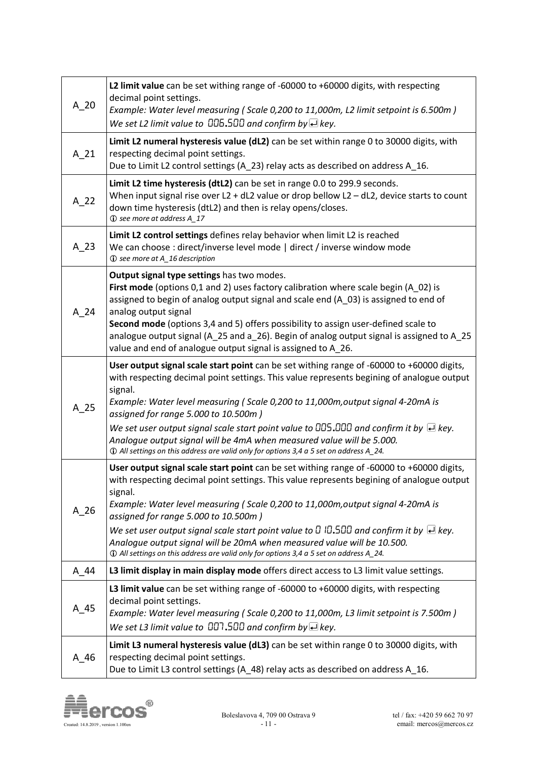| $A_2$ 20 | L2 limit value can be set withing range of -60000 to +60000 digits, with respecting<br>decimal point settings.<br>Example: Water level measuring (Scale 0,200 to 11,000m, L2 limit setpoint is 6.500m)                                                                                                                                                                                                                                                                                                                                                                                                          |
|----------|-----------------------------------------------------------------------------------------------------------------------------------------------------------------------------------------------------------------------------------------------------------------------------------------------------------------------------------------------------------------------------------------------------------------------------------------------------------------------------------------------------------------------------------------------------------------------------------------------------------------|
|          | We set L2 limit value to $\Box \Box 5 \Box \Box$ and confirm by $\Box$ key.                                                                                                                                                                                                                                                                                                                                                                                                                                                                                                                                     |
| $A_21$   | Limit L2 numeral hysteresis value (dL2) can be set within range 0 to 30000 digits, with<br>respecting decimal point settings.<br>Due to Limit L2 control settings (A_23) relay acts as described on address A_16.                                                                                                                                                                                                                                                                                                                                                                                               |
| $A_2$ 22 | Limit L2 time hysteresis (dtL2) can be set in range 0.0 to 299.9 seconds.<br>When input signal rise over L2 + dL2 value or drop bellow L2 $-$ dL2, device starts to count<br>down time hysteresis (dtL2) and then is relay opens/closes.<br>17 See more at address A_17                                                                                                                                                                                                                                                                                                                                         |
| A 23     | Limit L2 control settings defines relay behavior when limit L2 is reached<br>We can choose : direct/inverse level mode   direct / inverse window mode<br>16 description                                                                                                                                                                                                                                                                                                                                                                                                                                         |
| A 24     | Output signal type settings has two modes.<br>First mode (options 0,1 and 2) uses factory calibration where scale begin (A_02) is<br>assigned to begin of analog output signal and scale end (A_03) is assigned to end of<br>analog output signal<br>Second mode (options 3,4 and 5) offers possibility to assign user-defined scale to<br>analogue output signal (A_25 and a_26). Begin of analog output signal is assigned to A_25<br>value and end of analogue output signal is assigned to A_26.                                                                                                            |
| $A_2$    | User output signal scale start point can be set withing range of -60000 to +60000 digits,<br>with respecting decimal point settings. This value represents begining of analogue output<br>signal.<br>Example: Water level measuring (Scale 0,200 to 11,000m, output signal 4-20mA is<br>assigned for range 5.000 to 10.500m)<br>We set user output signal scale start point value to $\Box\Box$ 5.000 and confirm it by $\Box$ key.<br>Analogue output signal will be 4mA when measured value will be 5.000.<br>124. D All settings on this address are valid only for options 3,4 a 5 set on address A_24.     |
| A 26     | User output signal scale start point can be set withing range of -60000 to +60000 digits,<br>with respecting decimal point settings. This value represents begining of analogue output<br>signal.<br>Example: Water level measuring (Scale 0,200 to 11,000m, output signal 4-20mA is<br>assigned for range 5.000 to 10.500m)<br>We set user output signal scale start point value to $\Box$ ID.500 and confirm it by $\Box$ key.<br>Analoque output signal will be 20mA when measured value will be 10.500.<br>124. The Milton settings on this address are valid only for options 3,4 a 5 set on address A_24. |
| A 44     | L3 limit display in main display mode offers direct access to L3 limit value settings.                                                                                                                                                                                                                                                                                                                                                                                                                                                                                                                          |
| A 45     | L3 limit value can be set withing range of -60000 to +60000 digits, with respecting<br>decimal point settings.<br>Example: Water level measuring (Scale 0,200 to 11,000m, L3 limit setpoint is 7.500m)<br>We set L3 limit value to $\Box$ 500 and confirm by $\Box$ key.                                                                                                                                                                                                                                                                                                                                        |
| A 46     | Limit L3 numeral hysteresis value (dL3) can be set within range 0 to 30000 digits, with<br>respecting decimal point settings.<br>Due to Limit L3 control settings (A_48) relay acts as described on address A_16.                                                                                                                                                                                                                                                                                                                                                                                               |

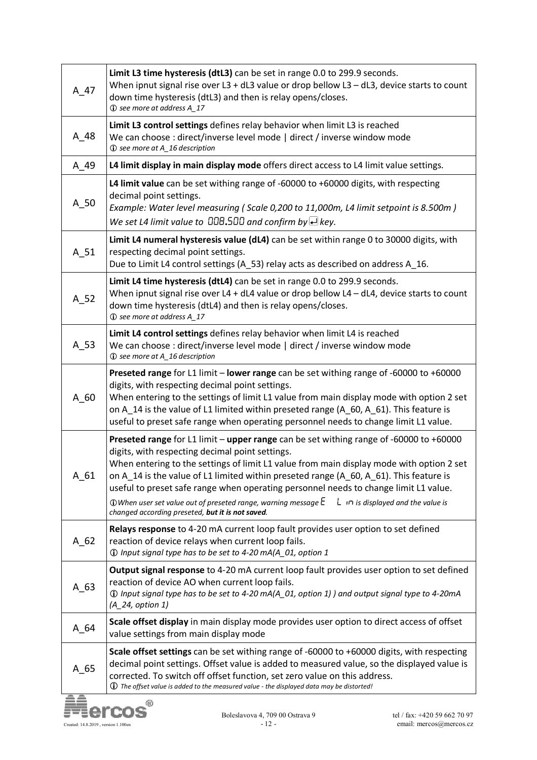| A 47   | Limit L3 time hysteresis (dtL3) can be set in range 0.0 to 299.9 seconds.<br>When ipnut signal rise over L3 + dL3 value or drop bellow L3 - dL3, device starts to count<br>down time hysteresis (dtL3) and then is relay opens/closes.<br>17 O see more at address A_17                                                                                                                                                                                                                                                                                                                                                                        |
|--------|------------------------------------------------------------------------------------------------------------------------------------------------------------------------------------------------------------------------------------------------------------------------------------------------------------------------------------------------------------------------------------------------------------------------------------------------------------------------------------------------------------------------------------------------------------------------------------------------------------------------------------------------|
| $A_48$ | Limit L3 control settings defines relay behavior when limit L3 is reached<br>We can choose : direct/inverse level mode   direct / inverse window mode<br>16 see more at A_16 description                                                                                                                                                                                                                                                                                                                                                                                                                                                       |
| A 49   | L4 limit display in main display mode offers direct access to L4 limit value settings.                                                                                                                                                                                                                                                                                                                                                                                                                                                                                                                                                         |
| $A_50$ | L4 limit value can be set withing range of -60000 to +60000 digits, with respecting<br>decimal point settings.<br>Example: Water level measuring (Scale 0,200 to 11,000m, L4 limit setpoint is 8.500m)<br>We set L4 limit value to $\Box \Box \Box$ and confirm by $\Box$ key.                                                                                                                                                                                                                                                                                                                                                                 |
| A 51   | Limit L4 numeral hysteresis value (dL4) can be set within range 0 to 30000 digits, with<br>respecting decimal point settings.<br>Due to Limit L4 control settings (A_53) relay acts as described on address A_16.                                                                                                                                                                                                                                                                                                                                                                                                                              |
| $A_52$ | Limit L4 time hysteresis (dtL4) can be set in range 0.0 to 299.9 seconds.<br>When ipnut signal rise over L4 + dL4 value or drop bellow L4 - dL4, device starts to count<br>down time hysteresis (dtL4) and then is relay opens/closes.<br>17 See more at address A_17                                                                                                                                                                                                                                                                                                                                                                          |
| A 53   | Limit L4 control settings defines relay behavior when limit L4 is reached<br>We can choose : direct/inverse level mode   direct / inverse window mode<br>16 see more at A_16 description                                                                                                                                                                                                                                                                                                                                                                                                                                                       |
| A 60   | Preseted range for L1 limit - lower range can be set withing range of -60000 to +60000<br>digits, with respecting decimal point settings.<br>When entering to the settings of limit L1 value from main display mode with option 2 set<br>on A 14 is the value of L1 limited within preseted range (A $-60$ , A $-61$ ). This feature is<br>useful to preset safe range when operating personnel needs to change limit L1 value.                                                                                                                                                                                                                |
| A 61   | Preseted range for L1 limit - upper range can be set withing range of -60000 to +60000<br>digits, with respecting decimal point settings.<br>When entering to the settings of limit L1 value from main display mode with option 2 set<br>on A_14 is the value of L1 limited within preseted range $(A_60, A_61)$ . This feature is<br>useful to preset safe range when operating personnel needs to change limit L1 value.<br>$\mathop{\textcircled{v}}$ When user set value out of preseted range, warning message $\mathop{\mathsf{E}}$<br>$\mathsf{L}$ in is displayed and the value is<br>changed according preseted, but it is not saved. |
| $A_62$ | Relays response to 4-20 mA current loop fault provides user option to set defined<br>reaction of device relays when current loop fails.<br>1) Input signal type has to be set to 4-20 mA(A_01, option 1                                                                                                                                                                                                                                                                                                                                                                                                                                        |
| $A_63$ | <b>Output signal response</b> to 4-20 mA current loop fault provides user option to set defined<br>reaction of device AO when current loop fails.<br>1) Input signal type has to be set to 4-20 mA(A_01, option 1) ) and output signal type to 4-20mA<br>(A_24, option 1)                                                                                                                                                                                                                                                                                                                                                                      |
| $A_64$ | Scale offset display in main display mode provides user option to direct access of offset<br>value settings from main display mode                                                                                                                                                                                                                                                                                                                                                                                                                                                                                                             |
| A 65   | Scale offset settings can be set withing range of -60000 to +60000 digits, with respecting<br>decimal point settings. Offset value is added to measured value, so the displayed value is<br>corrected. To switch off offset function, set zero value on this address.<br>$\bf{0}$ The offset value is added to the measured value - the displayed data may be distorted!                                                                                                                                                                                                                                                                       |
|        | ඹ                                                                                                                                                                                                                                                                                                                                                                                                                                                                                                                                                                                                                                              |

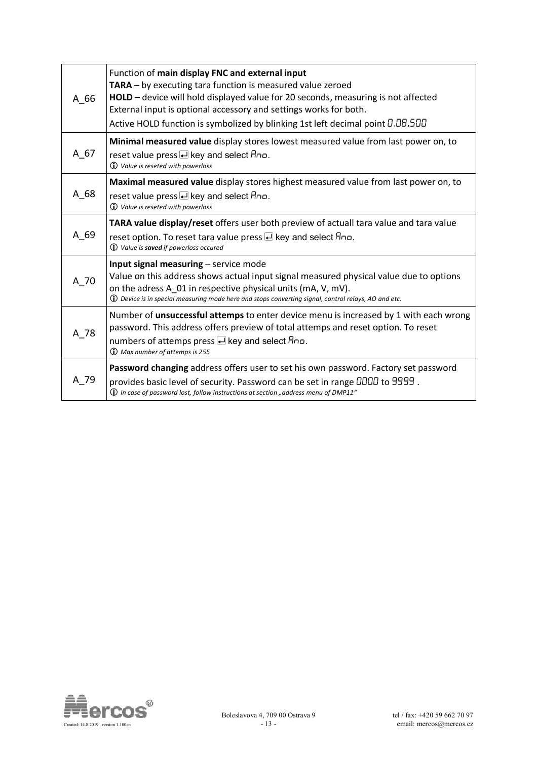| A 66   | Function of main display FNC and external input<br>TARA - by executing tara function is measured value zeroed<br>HOLD - device will hold displayed value for 20 seconds, measuring is not affected<br>External input is optional accessory and settings works for both.<br>Active HOLD function is symbolized by blinking 1st left decimal point D.DB.500 |
|--------|-----------------------------------------------------------------------------------------------------------------------------------------------------------------------------------------------------------------------------------------------------------------------------------------------------------------------------------------------------------|
| A 67   | Minimal measured value display stores lowest measured value from last power on, to<br>reset value press <u>e</u> key and select Ano.<br><b>1</b> Value is reseted with powerloss                                                                                                                                                                          |
| A 68   | Maximal measured value display stores highest measured value from last power on, to<br>reset value press U key and select Ano.<br><b><i>O</i></b> Value is reseted with powerloss                                                                                                                                                                         |
| $A_69$ | TARA value display/reset offers user both preview of actuall tara value and tara value<br>reset option. To reset tara value press <u>e</u> key and select Ano.<br><b><i>Q Value is saved if powerloss occured</i></b>                                                                                                                                     |
| A 70   | Input signal measuring - service mode<br>Value on this address shows actual input signal measured physical value due to options<br>on the adress A_01 in respective physical units (mA, V, mV).<br>$\bf{Q}$ Device is in special measuring mode here and stops converting signal, control relays, AO and etc.                                             |
| A 78   | Number of unsuccessful attemps to enter device menu is increased by 1 with each wrong<br>password. This address offers preview of total attemps and reset option. To reset<br>numbers of attemps press <b>e</b> key and select Ano.<br><b>I</b> Max number of attemps is 255                                                                              |
| A 79   | Password changing address offers user to set his own password. Factory set password<br>provides basic level of security. Password can be set in range DDDD to 9999.<br>$\bf \hat{U}$ In case of password lost, follow instructions at section "address menu of DMP11"                                                                                     |

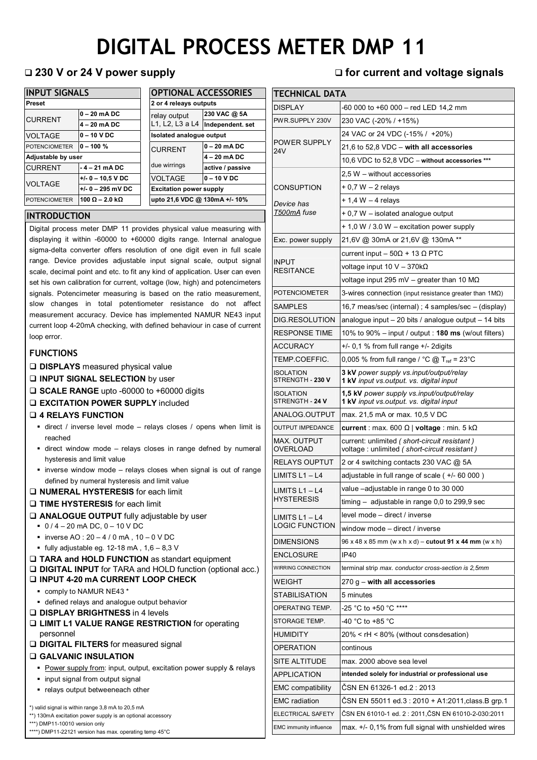# **DIGITAL PROCESS METER DMP 11**

| <b>INPUT SIGNALS</b> |                               | <b>OPTIONAL ACCESSORIES</b> |                                 |  |  |
|----------------------|-------------------------------|-----------------------------|---------------------------------|--|--|
| <b>Preset</b>        |                               |                             | 2 or 4 releays outputs          |  |  |
| <b>CURRENT</b>       | $0 - 20$ mA DC                | relay output                | 230 VAC @ 5A                    |  |  |
|                      | $4 - 20$ mA DC                | L1, L2, L3 a L4             | Independent. set                |  |  |
| <b>VOLTAGE</b>       | $0 - 10$ V DC                 |                             | <b>Isolated analogue output</b> |  |  |
| <b>POTENCIOMETER</b> | $0 - 100 \%$                  | <b>CURRENT</b>              | l0 – 20 mA DC                   |  |  |
| Adjustable by user   |                               |                             | $4 - 20$ mA DC                  |  |  |
| <b>CURRENT</b>       | $-4-21$ mA DC                 | due wirrings                | active / passive                |  |  |
| <b>VOLTAGE</b>       | $+/- 0 - 10.5$ V DC           | <b>VOLTAGE</b>              | l0 - 10 V DC                    |  |  |
|                      | $+/- 0 - 295$ mV DC           |                             | <b>Excitation power supply</b>  |  |  |
| <b>POTENCIOMETER</b> | 100 $\Omega$ – 2.0 k $\Omega$ |                             | upto 21,6 VDC @ 130mA +/- 10%   |  |  |

| UPTIUNAL ALLESSURIES           |                  |  |  |  |  |
|--------------------------------|------------------|--|--|--|--|
| 2 or 4 releays outputs         |                  |  |  |  |  |
| relay output                   | 230 VAC @ 5A     |  |  |  |  |
| L1, L2, L3 a L4                | Independent. set |  |  |  |  |
| Isolated analogue output       |                  |  |  |  |  |
| <b>CURRENT</b>                 | $0 - 20$ mA DC   |  |  |  |  |
|                                | 4 - 20 mA DC     |  |  |  |  |
| due wirrings                   | active / passive |  |  |  |  |
| <b>VOLTAGE</b>                 | $0 - 10 VDC$     |  |  |  |  |
| <b>Excitation power supply</b> |                  |  |  |  |  |
| upto 21,6 VDC @ 130mA +/- 10%  |                  |  |  |  |  |
|                                |                  |  |  |  |  |

## **INTRODUCTION**

Digital process meter DMP 11 provides physical value measuring with displaying it within -60000 to +60000 digits range. Internal analogue sigma-delta converter offers resolution of one digit even in full scale range. Device provides adjustable input signal scale, output signal scale, decimal point and etc. to fit any kind of application. User can even set his own calibration for current, voltage (low, high) and potencimeters signals. Potencimeter measuring is based on the ratio measurement, slow changes in total potentiometer resistance do not affect measurement accuracy. Device has implemented NAMUR NE43 input current loop 4-20mA checking, with defined behaviour in case of current loop error.

## **FUNCTIONS**

- **DISPLAYS** measured physical value
- **INPUT SIGNAL SELECTION** by user
- **SCALE RANGE** upto -60000 to +60000 digits
- **EXCITATION POWER SUPPLY** included

### **4 RELAYS FUNCTION**

- direct / inverse level mode relays closes / opens when limit is reached
- direct window mode relays closes in range defned by numeral hysteresis and limit value
- inverse window mode relays closes when signal is out of range defined by numeral hysteresis and limit value
- **NUMERAL HYSTERESIS** for each limit

### **TIME HYSTERESIS** for each limit

- **ANALOGUE OUTPUT** fully adjustable by user
	- $-0/4 20$  mA DC, 0 10 V DC
	- $\blacksquare$  inverse AO : 20 4 / 0 mA, 10 0 V DC
	- $\blacksquare$  fully adjustable eg. 12-18 mA, 1,6 8,3 V

### **TARA and HOLD FUNCTION** as standart equipment **DIGITAL INPUT** for TARA and HOLD function (optional acc.) **INPUT 4-20 mA CURRENT LOOP CHECK**

- comply to NAMUR NE43 \*
- defined relays and analogue output behavior
- **DISPLAY BRIGHTNESS** in 4 levels
- **LIMIT L1 VALUE RANGE RESTRICTION** for operating personnel
- **DIGITAL FILTERS** for measured signal

### **GALVANIC INSULATION**

- Power supply from: input, output, excitation power supply & relays
- input signal from output signal
- relays output betweeneach other

\*) valid signal is within range 3,8 mA to 20,5 mA

\*\*) 130mA excitation power supply is an optional accessory

\*\*\*) DMP11-10010 version only

\*\*\*\*) DMP11-22121 version has max. operating temp 45°C

## **230 V or 24 V power supply for current and voltage signals**

| TECHNICAL DATA                       |                                                                                                |  |  |  |  |
|--------------------------------------|------------------------------------------------------------------------------------------------|--|--|--|--|
| DISPLAY                              | -60 000 to +60 000 – red LED 14,2 mm                                                           |  |  |  |  |
| PWR.SUPPLY 230V                      | 230 VAC (-20% / +15%)                                                                          |  |  |  |  |
|                                      | 24 VAC or 24 VDC (-15% / +20%)                                                                 |  |  |  |  |
| <b>POWER SUPPLY</b><br>24V           | 21,6 to 52,8 VDC - with all accessories                                                        |  |  |  |  |
|                                      | 10,6 VDC to 52,8 VDC - without accessories ***                                                 |  |  |  |  |
|                                      | 2,5 W – without accessories                                                                    |  |  |  |  |
| <b>CONSUPTION</b>                    | + 0,7 W - 2 relays                                                                             |  |  |  |  |
| Device has                           | + 1.4 W - 4 relays                                                                             |  |  |  |  |
| T500mA fuse                          | + 0,7 W – isolated analogue output                                                             |  |  |  |  |
|                                      | + 1,0 W / 3.0 W – excitation power supply                                                      |  |  |  |  |
| Exc. power supply                    | 21,6V @ 30mA or 21,6V @ 130mA **                                                               |  |  |  |  |
|                                      | current input $-50\Omega + 13 \Omega$ PTC                                                      |  |  |  |  |
| <b>INPUT</b><br><b>RESITANCE</b>     | voltage input 10 V - 370k $\Omega$                                                             |  |  |  |  |
|                                      | voltage input 295 mV – greater than 10 M $\Omega$                                              |  |  |  |  |
| <b>POTENCIOMETER</b>                 | 3-wires connection (input resistance greater than $1M\Omega$ )                                 |  |  |  |  |
| SAMPLES                              | 16,7 meas/sec (internal); 4 samples/sec – (display)                                            |  |  |  |  |
| DIG.RESOLUTION                       | analogue input $-20$ bits / analogue output $-14$ bits                                         |  |  |  |  |
| RESPONSE TIME                        | 10% to 90% – input / output : <b>180 ms</b> (w/out filters)                                    |  |  |  |  |
| ACCURACY                             | $+/-$ 0,1 % from full range $+/-$ 2 digits                                                     |  |  |  |  |
| TEMP.COEFFIC.                        | 0,005 % from full range / °C @ T <sub>ref</sub> = 23°C                                         |  |  |  |  |
| <b>ISOLATION</b><br>STRENGTH - 230 V | 3 kV power supply vs.input/output/relay<br>1 kV input vs.output. vs. digital input             |  |  |  |  |
| <b>ISOLATION</b><br>STRENGTH - 24 V  | 1,5 kV power supply vs.input/output/relay<br>1 kV input vs.output. vs. digital input           |  |  |  |  |
| ANALOG.OUTPUT                        | max. 21,5 mA or max. 10,5 V DC                                                                 |  |  |  |  |
| OUTPUT IMPEDANCE                     | <b>current</b> : max. 600 Ω   <b>voltage</b> : min. 5 kΩ                                       |  |  |  |  |
| MAX. OUTPUT<br>OVERLOAD              | current: unlimited ( short-circuit resistant )<br>voltage: unlimited (short-circuit resistant) |  |  |  |  |
| RELAYS OUPTUT                        | 2 or 4 switching contacts 230 VAC @ 5A                                                         |  |  |  |  |
| LIMITS $L1 - L4$                     | adjustable in full range of scale ( +/- 60 000 )                                               |  |  |  |  |
| LIMITS $L1 - L4$                     | value -adjustable in range 0 to 30 000                                                         |  |  |  |  |
| HYSTERESIS                           | $timing - adjustable in range 0.0 to 299.9 sec$                                                |  |  |  |  |
| LIMITS $L1 - L4$                     | level mode - direct / inverse                                                                  |  |  |  |  |
| <b>LOGIC FUNCTION</b>                | window mode - direct / inverse                                                                 |  |  |  |  |
| <b>DIMENSIONS</b>                    | 96 x 48 x 85 mm (w x h x d) - cutout 91 x 44 mm (w x h)                                        |  |  |  |  |
| <b>ENCLOSURE</b>                     | <b>IP40</b>                                                                                    |  |  |  |  |
| WIRRING CONNECTION                   | terminal strip max. conductor cross-section is 2,5mm                                           |  |  |  |  |
| WEIGHT                               | $270 g -$ with all accessories                                                                 |  |  |  |  |
| STABILISATION                        | 5 minutes                                                                                      |  |  |  |  |
| OPERATING TEMP.                      | -25 °C to +50 °C ****                                                                          |  |  |  |  |
| STORAGE TEMP.                        | -40 °C to +85 °C                                                                               |  |  |  |  |
| HUMIDITY                             | 20% < rH < 80% (without consdesation)                                                          |  |  |  |  |
| OPERATION                            | continous                                                                                      |  |  |  |  |
| SITE ALTITUDE                        | max. 2000 above sea level                                                                      |  |  |  |  |
| <b>APPLICATION</b>                   | intended solely for industrial or professional use                                             |  |  |  |  |
| <b>EMC compatibility</b>             | ČSN EN 61326-1 ed.2 : 2013                                                                     |  |  |  |  |
| <b>EMC</b> radiation                 | CSN EN 55011 ed.3 : 2010 + A1:2011, class.B grp.1                                              |  |  |  |  |
| ELECTRICAL SAFETY                    | ČSN EN 61010-1 ed. 2: 2011, ČSN EN 61010-2-030:2011                                            |  |  |  |  |
| <b>EMC</b> immunity influence        | $max. +/- 0.1%$ from full signal with unshielded wires                                         |  |  |  |  |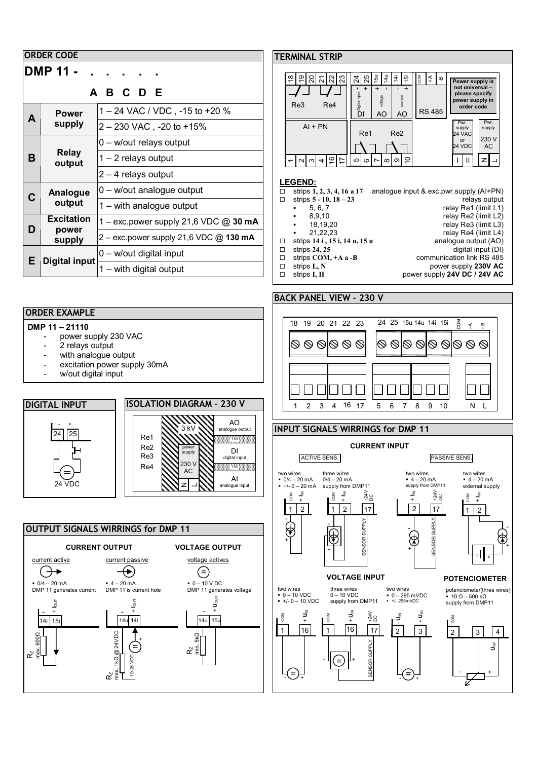| <b>ORDER CODE</b>       |                                      |                                                                                 |                          |  |  |
|-------------------------|--------------------------------------|---------------------------------------------------------------------------------|--------------------------|--|--|
| <b>DMP 11 -</b><br>BCDE |                                      |                                                                                 |                          |  |  |
| A                       | <b>Power</b><br>supply               | 1 – 24 VAC / VDC, -15 to +20 %<br>2 - 230 VAC, -20 to +15%                      |                          |  |  |
| в                       | <b>Relay</b><br>output               | 0 - w/out relays output<br>1 - 2 relays output<br>$2 - 4$ relays output         |                          |  |  |
| C                       | Analogue<br>output                   | 0 - w/out analogue output<br>$1 -$ with analogue output                         | <u>LE</u><br>$\Box$<br>П |  |  |
| D                       | <b>Excitation</b><br>power<br>supply | 1 - exc.power supply 21,6 VDC @ 30 mA<br>2 - exc.power supply 21,6 VDC @ 130 mA | п                        |  |  |
| Е                       | <b>Digital input</b>                 | 0 - w/out digital input<br>1 - with digital output                              | П<br>□<br>□<br>□         |  |  |

## **ORDER EXAMPLE**

### **DMP 11 – 21110**

- power supply 230 VAC
- 2 relays output
- with analogue output
- excitation power supply 30mA
- w/out digital input







## **MINAL STRIP**



### **LEGEND:**

-

-

-

-

- strips **1, 2, 3, 4, 16 a 17** analogue input & exc.pwr.supply (AI+PN)
	- strips **5 10, 18 23** relays output
		-

strips **I, II** power supply **24V DC / 24V AC**

digital input (DI)

+

 $\breve{\mathbf{J}}^{\mathbf{e}}$ 

-

- 5, 6, 7<br>
8, 9, 10<br>
8, 9, 10
- 
- 8,9,10 relay Re2 (limit L2)<br>18.19.20 relay Re3 (limit L3)
	-
	- 18,19,20<br>
	21,22,23 relay Re3 (limit L3)<br>
	relay Re4 (limit L4) relay Re4 (limit L4)<br>analogue output (AO)
- strips **14 i**, **15 i**, **14 u**, **15 u** strips **24**, **25**
- 
- strips **COM, +A a -B**<br>strips L, N communication link RS 485<br>power supply 230V AC
- strips **L, N**<br>strips **L, II power supply 230V AC**<br>power supply 24V DC / 24V AC
- 

## **BACK PANEL VIEW – 230 V**



### **INPUT SIGNALS WIRRINGS for DMP 11**